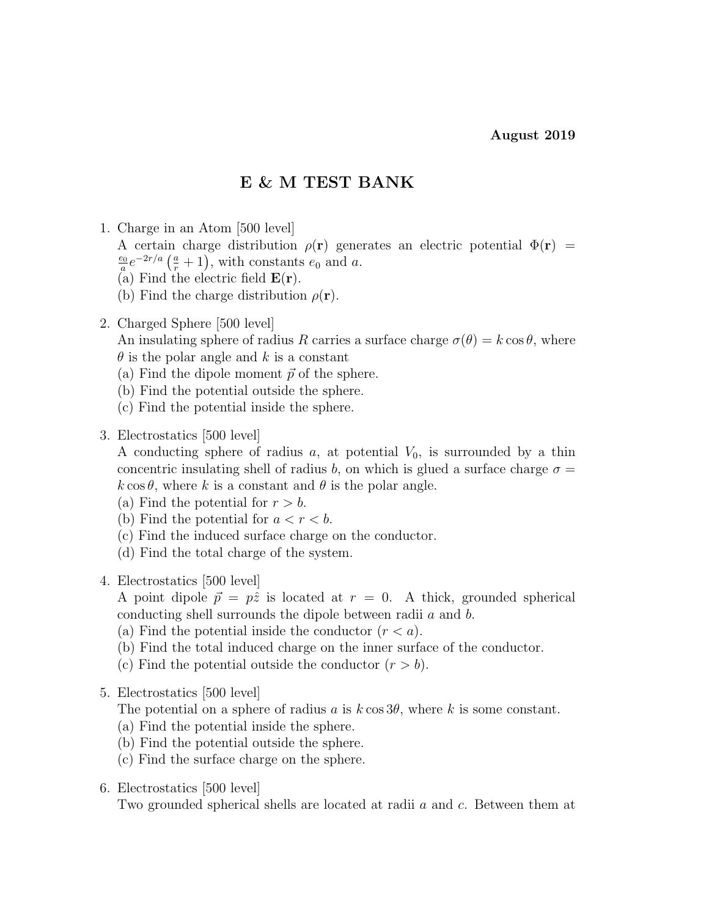# E & M TEST BANK

- 1. Charge in an Atom [500 level] A certain charge distribution  $\rho(\mathbf{r})$  generates an electric potential  $\Phi(\mathbf{r})$  =  $\overline{e_0}$  $\frac{e_0}{a}e^{-2r/a}(\frac{a}{r}+1)$ , with constants  $e_0$  and a. (a) Find the electric field  $\mathbf{E}(\mathbf{r})$ . (b) Find the charge distribution  $\rho(\mathbf{r})$ .
- 2. Charged Sphere [500 level]

An insulating sphere of radius R carries a surface charge  $\sigma(\theta) = k \cos \theta$ , where  $\theta$  is the polar angle and k is a constant

- (a) Find the dipole moment  $\vec{p}$  of the sphere.
- (b) Find the potential outside the sphere.
- (c) Find the potential inside the sphere.
- 3. Electrostatics [500 level]

A conducting sphere of radius a, at potential  $V_0$ , is surrounded by a thin concentric insulating shell of radius b, on which is glued a surface charge  $\sigma =$  $k \cos \theta$ , where k is a constant and  $\theta$  is the polar angle.

- (a) Find the potential for  $r > b$ .
- (b) Find the potential for  $a < r < b$ .
- (c) Find the induced surface charge on the conductor.
- (d) Find the total charge of the system.
- 4. Electrostatics [500 level]

A point dipole  $\vec{p} = p\hat{z}$  is located at  $r = 0$ . A thick, grounded spherical conducting shell surrounds the dipole between radii a and b.

- (a) Find the potential inside the conductor  $(r < a)$ .
- (b) Find the total induced charge on the inner surface of the conductor.
- (c) Find the potential outside the conductor  $(r > b)$ .
- 5. Electrostatics [500 level]

The potential on a sphere of radius a is  $k \cos 3\theta$ , where k is some constant.

- (a) Find the potential inside the sphere.
- (b) Find the potential outside the sphere.
- (c) Find the surface charge on the sphere.
- 6. Electrostatics [500 level]

Two grounded spherical shells are located at radii a and c. Between them at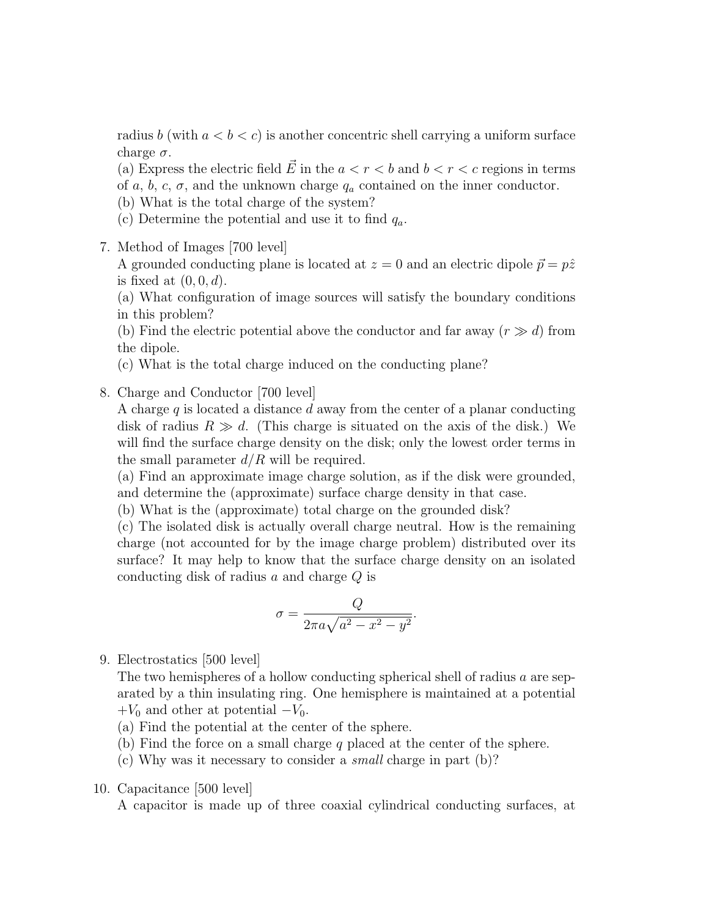radius b (with  $a < b < c$ ) is another concentric shell carrying a uniform surface charge  $\sigma$ .

(a) Express the electric field E in the  $a < r < b$  and  $b < r < c$  regions in terms of a, b, c,  $\sigma$ , and the unknown charge  $q_a$  contained on the inner conductor.

- (b) What is the total charge of the system?
- (c) Determine the potential and use it to find  $q_a$ .
- 7. Method of Images [700 level]

A grounded conducting plane is located at  $z = 0$  and an electric dipole  $\vec{p} = p\hat{z}$ is fixed at  $(0, 0, d)$ .

(a) What configuration of image sources will satisfy the boundary conditions in this problem?

(b) Find the electric potential above the conductor and far away  $(r \gg d)$  from the dipole.

(c) What is the total charge induced on the conducting plane?

#### 8. Charge and Conductor [700 level]

A charge q is located a distance d away from the center of a planar conducting disk of radius  $R \gg d$ . (This charge is situated on the axis of the disk.) We will find the surface charge density on the disk; only the lowest order terms in the small parameter  $d/R$  will be required.

(a) Find an approximate image charge solution, as if the disk were grounded, and determine the (approximate) surface charge density in that case.

(b) What is the (approximate) total charge on the grounded disk?

(c) The isolated disk is actually overall charge neutral. How is the remaining charge (not accounted for by the image charge problem) distributed over its surface? It may help to know that the surface charge density on an isolated conducting disk of radius a and charge Q is

$$
\sigma = \frac{Q}{2\pi a\sqrt{a^2 - x^2 - y^2}}.
$$

9. Electrostatics [500 level]

The two hemispheres of a hollow conducting spherical shell of radius a are separated by a thin insulating ring. One hemisphere is maintained at a potential  $+V_0$  and other at potential  $-V_0$ .

- (a) Find the potential at the center of the sphere.
- (b) Find the force on a small charge q placed at the center of the sphere.
- (c) Why was it necessary to consider a small charge in part (b)?
- 10. Capacitance [500 level]

A capacitor is made up of three coaxial cylindrical conducting surfaces, at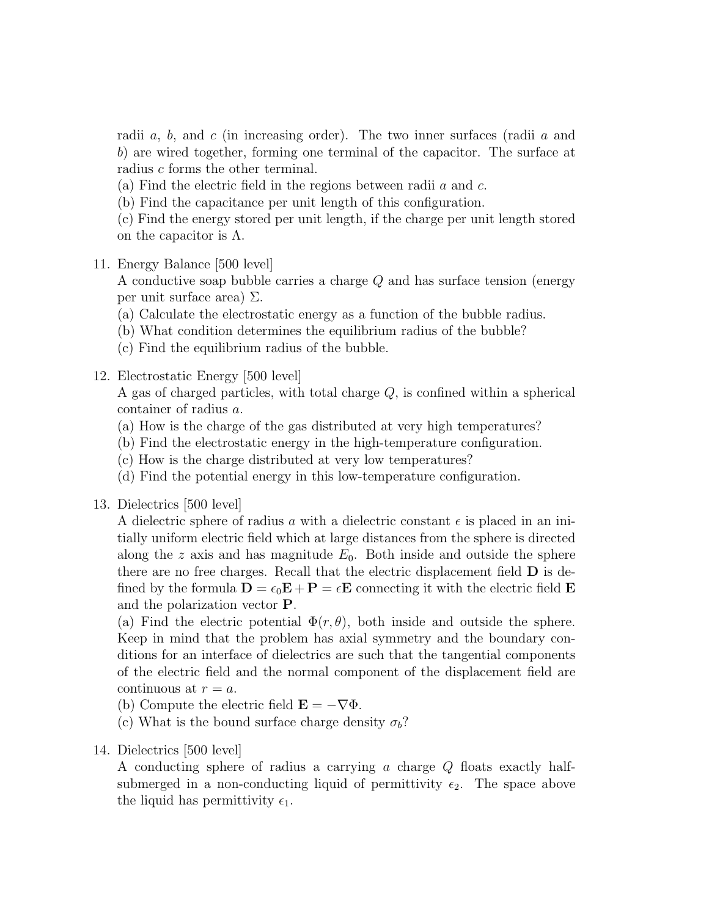radii a, b, and c (in increasing order). The two inner surfaces (radii a and b) are wired together, forming one terminal of the capacitor. The surface at radius c forms the other terminal.

(a) Find the electric field in the regions between radii  $a$  and  $c$ .

(b) Find the capacitance per unit length of this configuration.

(c) Find the energy stored per unit length, if the charge per unit length stored on the capacitor is  $\Lambda$ .

# 11. Energy Balance [500 level]

A conductive soap bubble carries a charge Q and has surface tension (energy per unit surface area) Σ.

- (a) Calculate the electrostatic energy as a function of the bubble radius.
- (b) What condition determines the equilibrium radius of the bubble?
- (c) Find the equilibrium radius of the bubble.

# 12. Electrostatic Energy [500 level]

A gas of charged particles, with total charge Q, is confined within a spherical container of radius a.

- (a) How is the charge of the gas distributed at very high temperatures?
- (b) Find the electrostatic energy in the high-temperature configuration.
- (c) How is the charge distributed at very low temperatures?
- (d) Find the potential energy in this low-temperature configuration.
- 13. Dielectrics [500 level]

A dielectric sphere of radius a with a dielectric constant  $\epsilon$  is placed in an initially uniform electric field which at large distances from the sphere is directed along the z axis and has magnitude  $E_0$ . Both inside and outside the sphere there are no free charges. Recall that the electric displacement field D is defined by the formula  $\mathbf{D} = \epsilon_0 \mathbf{E} + \mathbf{P} = \epsilon \mathbf{E}$  connecting it with the electric field  $\mathbf{E}$ and the polarization vector P.

(a) Find the electric potential  $\Phi(r, \theta)$ , both inside and outside the sphere. Keep in mind that the problem has axial symmetry and the boundary conditions for an interface of dielectrics are such that the tangential components of the electric field and the normal component of the displacement field are continuous at  $r = a$ .

- (b) Compute the electric field  $\mathbf{E} = -\nabla \Phi$ .
- (c) What is the bound surface charge density  $\sigma_b$ ?
- 14. Dielectrics [500 level]

A conducting sphere of radius a carrying a charge Q floats exactly halfsubmerged in a non-conducting liquid of permittivity  $\epsilon_2$ . The space above the liquid has permittivity  $\epsilon_1$ .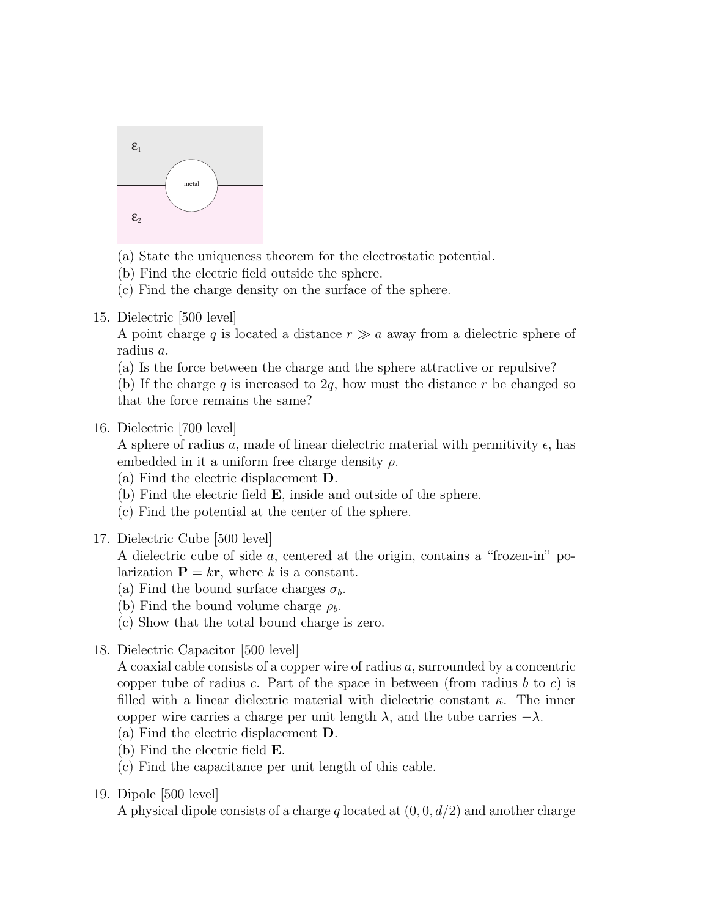

- (a) State the uniqueness theorem for the electrostatic potential.
- (b) Find the electric field outside the sphere.
- (c) Find the charge density on the surface of the sphere.
- 15. Dielectric [500 level]

A point charge q is located a distance  $r \gg a$  away from a dielectric sphere of radius a.

(a) Is the force between the charge and the sphere attractive or repulsive?

(b) If the charge q is increased to  $2q$ , how must the distance r be changed so that the force remains the same?

16. Dielectric [700 level]

A sphere of radius a, made of linear dielectric material with permitivity  $\epsilon$ , has embedded in it a uniform free charge density  $\rho$ .

- (a) Find the electric displacement D.
- (b) Find the electric field E, inside and outside of the sphere.
- (c) Find the potential at the center of the sphere.
- 17. Dielectric Cube [500 level]

A dielectric cube of side a, centered at the origin, contains a "frozen-in" polarization  $\mathbf{P} = k\mathbf{r}$ , where k is a constant.

- (a) Find the bound surface charges  $\sigma_b$ .
- (b) Find the bound volume charge  $\rho_b$ .
- (c) Show that the total bound charge is zero.
- 18. Dielectric Capacitor [500 level]

A coaxial cable consists of a copper wire of radius a, surrounded by a concentric copper tube of radius c. Part of the space in between (from radius b to c) is filled with a linear dielectric material with dielectric constant  $\kappa$ . The inner copper wire carries a charge per unit length  $\lambda$ , and the tube carries  $-\lambda$ .

- (a) Find the electric displacement D.
- (b) Find the electric field E.
- (c) Find the capacitance per unit length of this cable.
- 19. Dipole [500 level]

A physical dipole consists of a charge q located at  $(0, 0, d/2)$  and another charge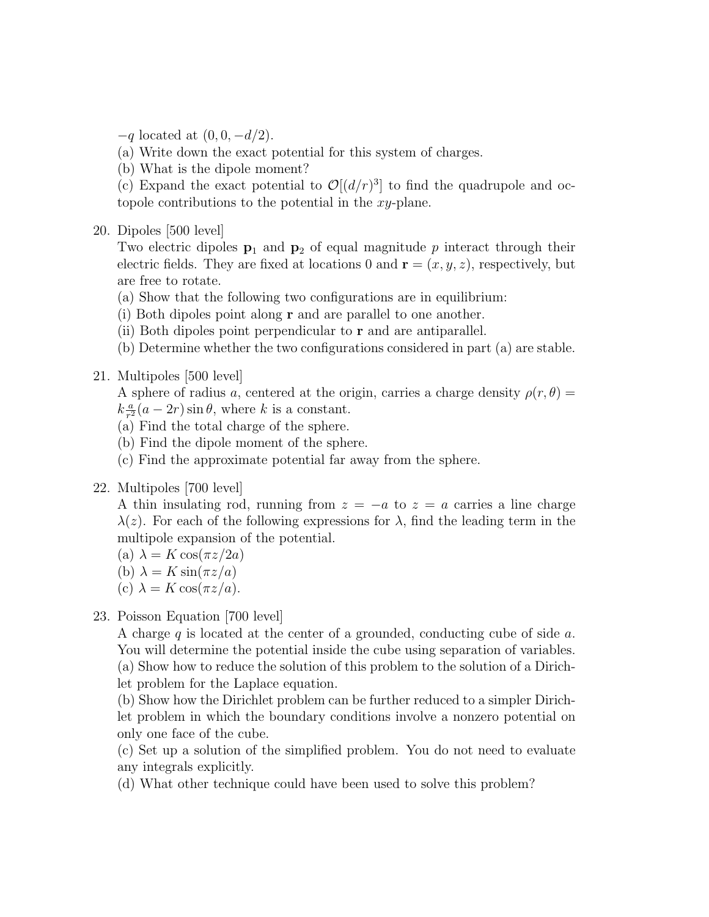- $-q$  located at  $(0, 0, -d/2)$ .
- (a) Write down the exact potential for this system of charges.
- (b) What is the dipole moment?

(c) Expand the exact potential to  $\mathcal{O}[(d/r)^3]$  to find the quadrupole and octopole contributions to the potential in the xy-plane.

20. Dipoles [500 level]

Two electric dipoles  $p_1$  and  $p_2$  of equal magnitude p interact through their electric fields. They are fixed at locations 0 and  $\mathbf{r} = (x, y, z)$ , respectively, but are free to rotate.

- (a) Show that the following two configurations are in equilibrium:
- (i) Both dipoles point along r and are parallel to one another.
- (ii) Both dipoles point perpendicular to  $\bf{r}$  and are antiparallel.
- (b) Determine whether the two configurations considered in part (a) are stable.
- 21. Multipoles [500 level]

A sphere of radius a, centered at the origin, carries a charge density  $\rho(r,\theta)$  =  $k\frac{a}{r^2}$  $\frac{a}{r^2}(a-2r)\sin\theta$ , where k is a constant.

- (a) Find the total charge of the sphere.
- (b) Find the dipole moment of the sphere.
- (c) Find the approximate potential far away from the sphere.
- 22. Multipoles [700 level]

A thin insulating rod, running from  $z = -a$  to  $z = a$  carries a line charge  $\lambda(z)$ . For each of the following expressions for  $\lambda$ , find the leading term in the multipole expansion of the potential.

- (a)  $\lambda = K \cos(\pi z/2a)$
- (b)  $\lambda = K \sin(\pi z/a)$
- (c)  $\lambda = K \cos(\pi z/a)$ .

### 23. Poisson Equation [700 level]

A charge q is located at the center of a grounded, conducting cube of side  $a$ . You will determine the potential inside the cube using separation of variables. (a) Show how to reduce the solution of this problem to the solution of a Dirichlet problem for the Laplace equation.

(b) Show how the Dirichlet problem can be further reduced to a simpler Dirichlet problem in which the boundary conditions involve a nonzero potential on only one face of the cube.

- (c) Set up a solution of the simplified problem. You do not need to evaluate any integrals explicitly.
- (d) What other technique could have been used to solve this problem?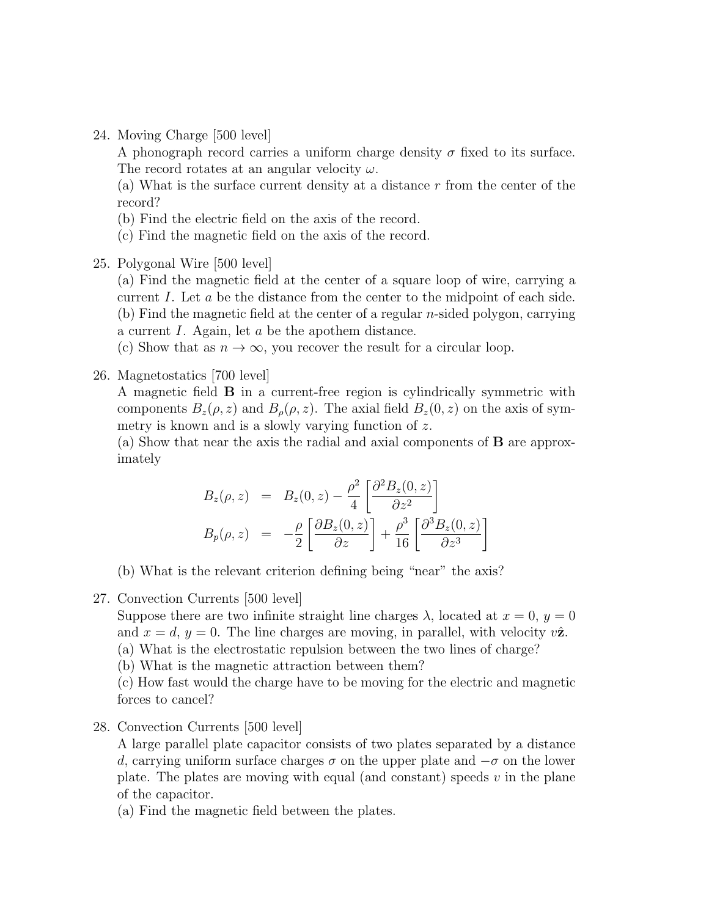24. Moving Charge [500 level]

A phonograph record carries a uniform charge density  $\sigma$  fixed to its surface. The record rotates at an angular velocity  $\omega$ .

(a) What is the surface current density at a distance r from the center of the record?

- (b) Find the electric field on the axis of the record.
- (c) Find the magnetic field on the axis of the record.
- 25. Polygonal Wire [500 level]

(a) Find the magnetic field at the center of a square loop of wire, carrying a current I. Let a be the distance from the center to the midpoint of each side. (b) Find the magnetic field at the center of a regular *n*-sided polygon, carrying a current I. Again, let a be the apothem distance.

(c) Show that as  $n \to \infty$ , you recover the result for a circular loop.

26. Magnetostatics [700 level]

A magnetic field B in a current-free region is cylindrically symmetric with components  $B_z(\rho, z)$  and  $B_{\rho}(\rho, z)$ . The axial field  $B_z(0, z)$  on the axis of symmetry is known and is a slowly varying function of z.

(a) Show that near the axis the radial and axial components of B are approximately

$$
B_z(\rho, z) = B_z(0, z) - \frac{\rho^2}{4} \left[ \frac{\partial^2 B_z(0, z)}{\partial z^2} \right]
$$
  
\n
$$
B_p(\rho, z) = -\frac{\rho}{2} \left[ \frac{\partial B_z(0, z)}{\partial z} \right] + \frac{\rho^3}{16} \left[ \frac{\partial^3 B_z(0, z)}{\partial z^3} \right]
$$

(b) What is the relevant criterion defining being "near" the axis?

27. Convection Currents [500 level]

Suppose there are two infinite straight line charges  $\lambda$ , located at  $x = 0$ ,  $y = 0$ and  $x = d$ ,  $y = 0$ . The line charges are moving, in parallel, with velocity  $v\hat{z}$ .

(a) What is the electrostatic repulsion between the two lines of charge?

(b) What is the magnetic attraction between them?

(c) How fast would the charge have to be moving for the electric and magnetic forces to cancel?

28. Convection Currents [500 level]

A large parallel plate capacitor consists of two plates separated by a distance d, carrying uniform surface charges  $\sigma$  on the upper plate and  $-\sigma$  on the lower plate. The plates are moving with equal (and constant) speeds  $v$  in the plane of the capacitor.

(a) Find the magnetic field between the plates.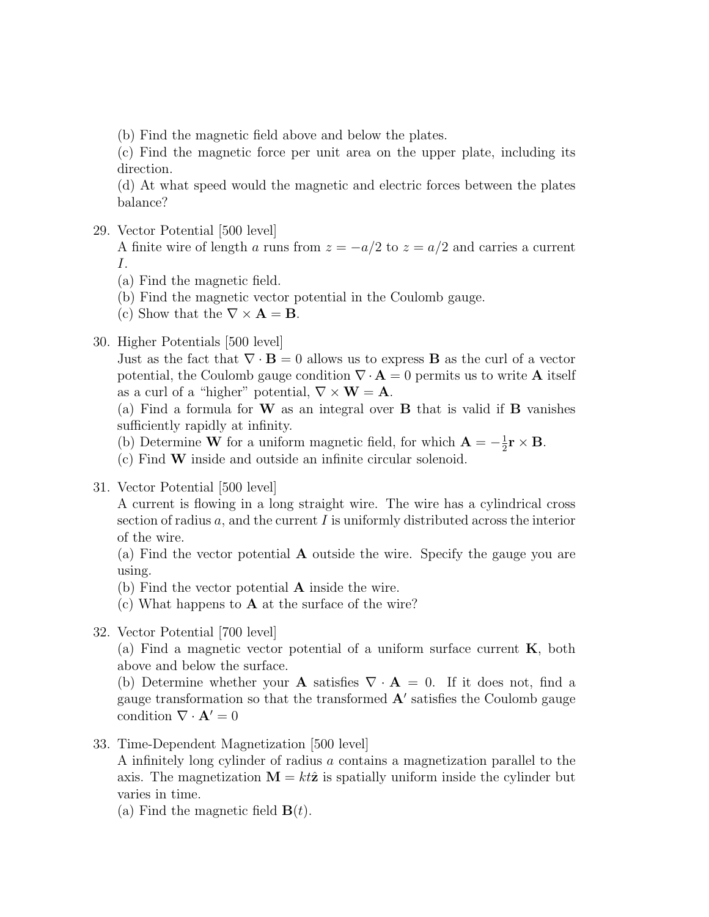(b) Find the magnetic field above and below the plates.

(c) Find the magnetic force per unit area on the upper plate, including its direction.

(d) At what speed would the magnetic and electric forces between the plates balance?

29. Vector Potential [500 level]

A finite wire of length a runs from  $z = -a/2$  to  $z = a/2$  and carries a current I.

- (a) Find the magnetic field.
- (b) Find the magnetic vector potential in the Coulomb gauge.
- (c) Show that the  $\nabla \times \mathbf{A} = \mathbf{B}$ .

#### 30. Higher Potentials [500 level]

Just as the fact that  $\nabla \cdot \mathbf{B} = 0$  allows us to express **B** as the curl of a vector potential, the Coulomb gauge condition  $\nabla \cdot \mathbf{A} = 0$  permits us to write **A** itself as a curl of a "higher" potential,  $\nabla \times \mathbf{W} = \mathbf{A}$ .

(a) Find a formula for  $W$  as an integral over  $B$  that is valid if  $B$  vanishes sufficiently rapidly at infinity.

(b) Determine W for a uniform magnetic field, for which  $\mathbf{A} = -\frac{1}{2}$  $\frac{1}{2} \mathbf{r} \times \mathbf{B}$ .

(c) Find W inside and outside an infinite circular solenoid.

31. Vector Potential [500 level]

A current is flowing in a long straight wire. The wire has a cylindrical cross section of radius  $a$ , and the current I is uniformly distributed across the interior of the wire.

(a) Find the vector potential A outside the wire. Specify the gauge you are using.

(b) Find the vector potential A inside the wire.

(c) What happens to A at the surface of the wire?

32. Vector Potential [700 level]

(a) Find a magnetic vector potential of a uniform surface current  $K$ , both above and below the surface.

(b) Determine whether your **A** satisfies  $\nabla \cdot \mathbf{A} = 0$ . If it does not, find a gauge transformation so that the transformed  $A'$  satisfies the Coulomb gauge condition  $\nabla \cdot \mathbf{A}' = 0$ 

33. Time-Dependent Magnetization [500 level]

A infinitely long cylinder of radius a contains a magnetization parallel to the axis. The magnetization  $\mathbf{M} = kt\hat{\mathbf{z}}$  is spatially uniform inside the cylinder but varies in time.

(a) Find the magnetic field  $\mathbf{B}(t)$ .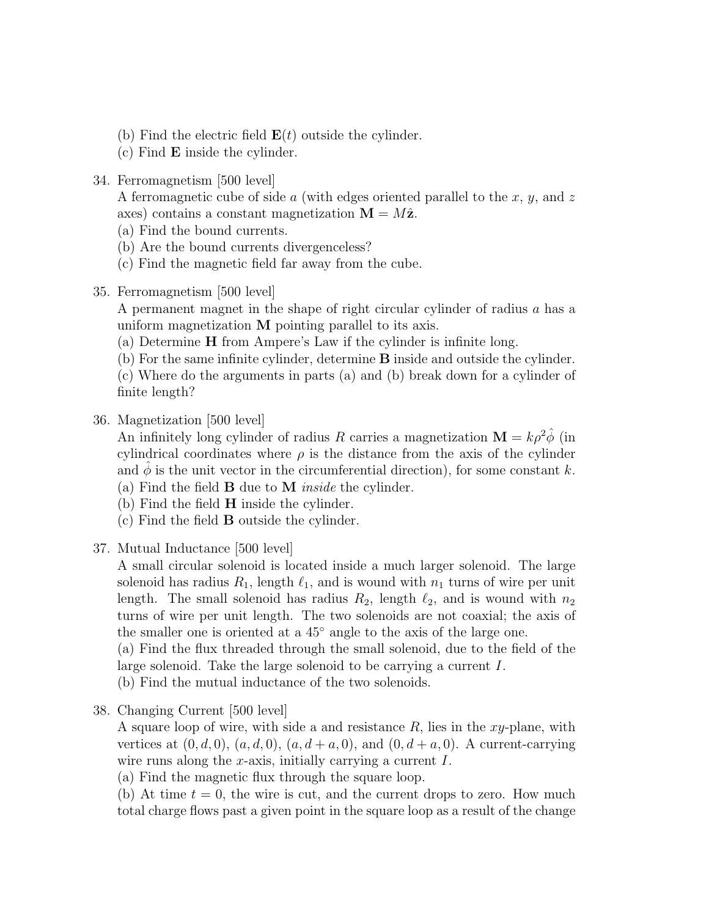- (b) Find the electric field  $\mathbf{E}(t)$  outside the cylinder.
- (c) Find E inside the cylinder.
- 34. Ferromagnetism [500 level]

A ferromagnetic cube of side  $\alpha$  (with edges oriented parallel to the  $x, y$ , and  $z$ axes) contains a constant magnetization  $\mathbf{M} = M\hat{\mathbf{z}}$ .

- (a) Find the bound currents.
- (b) Are the bound currents divergenceless?
- (c) Find the magnetic field far away from the cube.
- 35. Ferromagnetism [500 level]

A permanent magnet in the shape of right circular cylinder of radius a has a uniform magnetization M pointing parallel to its axis.

- (a) Determine H from Ampere's Law if the cylinder is infinite long.
- (b) For the same infinite cylinder, determine B inside and outside the cylinder. (c) Where do the arguments in parts (a) and (b) break down for a cylinder of
- finite length?
- 36. Magnetization [500 level]

An infinitely long cylinder of radius R carries a magnetization  $\mathbf{M} = k \rho^2 \phi$  (in cylindrical coordinates where  $\rho$  is the distance from the axis of the cylinder and  $\phi$  is the unit vector in the circumferential direction), for some constant k. (a) Find the field  $\bf{B}$  due to  $\bf{M}$  *inside* the cylinder.

- (b) Find the field  $H$  inside the cylinder.
- (c) Find the field B outside the cylinder.
- 37. Mutual Inductance [500 level]

A small circular solenoid is located inside a much larger solenoid. The large solenoid has radius  $R_1$ , length  $\ell_1$ , and is wound with  $n_1$  turns of wire per unit length. The small solenoid has radius  $R_2$ , length  $\ell_2$ , and is wound with  $n_2$ turns of wire per unit length. The two solenoids are not coaxial; the axis of the smaller one is oriented at a 45◦ angle to the axis of the large one.

(a) Find the flux threaded through the small solenoid, due to the field of the large solenoid. Take the large solenoid to be carrying a current I.

(b) Find the mutual inductance of the two solenoids.

38. Changing Current [500 level]

A square loop of wire, with side a and resistance  $R$ , lies in the xy-plane, with vertices at  $(0, d, 0)$ ,  $(a, d, 0)$ ,  $(a, d + a, 0)$ , and  $(0, d + a, 0)$ . A current-carrying wire runs along the x-axis, initially carrying a current  $I$ .

(a) Find the magnetic flux through the square loop.

(b) At time  $t = 0$ , the wire is cut, and the current drops to zero. How much total charge flows past a given point in the square loop as a result of the change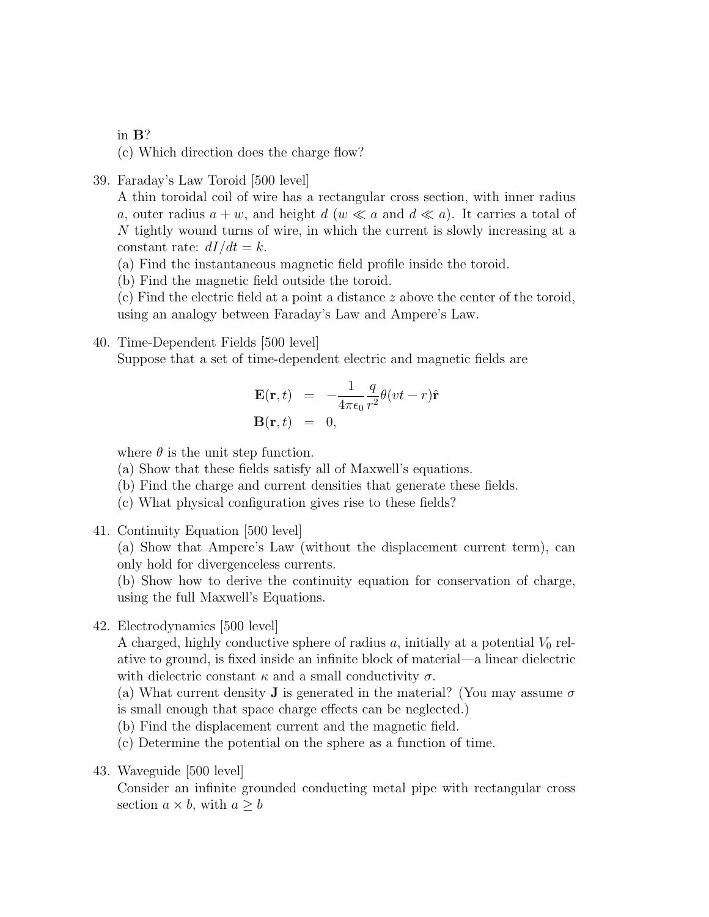in B?

(c) Which direction does the charge flow?

39. Faraday's Law Toroid [500 level]

A thin toroidal coil of wire has a rectangular cross section, with inner radius a, outer radius  $a + w$ , and height  $d (w \ll a)$  and  $d \ll a$ ). It carries a total of N tightly wound turns of wire, in which the current is slowly increasing at a constant rate:  $dI/dt = k$ .

(a) Find the instantaneous magnetic field profile inside the toroid.

(b) Find the magnetic field outside the toroid.

(c) Find the electric field at a point a distance z above the center of the toroid, using an analogy between Faraday's Law and Ampere's Law.

40. Time-Dependent Fields [500 level] Suppose that a set of time-dependent electric and magnetic fields are

$$
\mathbf{E}(\mathbf{r},t) = -\frac{1}{4\pi\epsilon_0} \frac{q}{r^2} \theta(vt-r) \hat{\mathbf{r}}
$$
  

$$
\mathbf{B}(\mathbf{r},t) = 0,
$$

where  $\theta$  is the unit step function.

- (a) Show that these fields satisfy all of Maxwell's equations.
- (b) Find the charge and current densities that generate these fields.
- (c) What physical configuration gives rise to these fields?
- 41. Continuity Equation [500 level]

(a) Show that Ampere's Law (without the displacement current term), can only hold for divergenceless currents.

(b) Show how to derive the continuity equation for conservation of charge, using the full Maxwell's Equations.

42. Electrodynamics [500 level]

A charged, highly conductive sphere of radius  $a$ , initially at a potential  $V_0$  relative to ground, is fixed inside an infinite block of material—a linear dielectric with dielectric constant  $\kappa$  and a small conductivity  $\sigma$ .

(a) What current density **J** is generated in the material? (You may assume  $\sigma$ is small enough that space charge effects can be neglected.)

(b) Find the displacement current and the magnetic field.

(c) Determine the potential on the sphere as a function of time.

43. Waveguide [500 level]

Consider an infinite grounded conducting metal pipe with rectangular cross section  $a \times b$ , with  $a \geq b$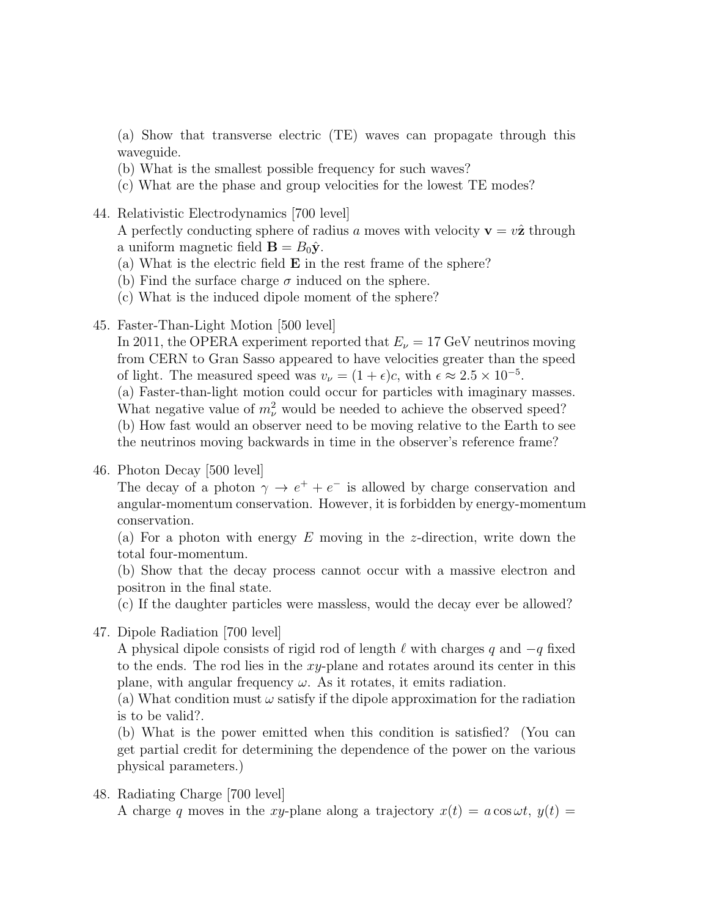(a) Show that transverse electric (TE) waves can propagate through this waveguide.

- (b) What is the smallest possible frequency for such waves?
- (c) What are the phase and group velocities for the lowest TE modes?
- 44. Relativistic Electrodynamics [700 level]

A perfectly conducting sphere of radius a moves with velocity  $\mathbf{v} = v\hat{\mathbf{z}}$  through a uniform magnetic field  $\mathbf{B} = B_0 \hat{\mathbf{y}}$ .

- (a) What is the electric field E in the rest frame of the sphere?
- (b) Find the surface charge  $\sigma$  induced on the sphere.
- (c) What is the induced dipole moment of the sphere?
- 45. Faster-Than-Light Motion [500 level]

In 2011, the OPERA experiment reported that  $E_{\nu} = 17$  GeV neutrinos moving from CERN to Gran Sasso appeared to have velocities greater than the speed of light. The measured speed was  $v_{\nu} = (1 + \epsilon)c$ , with  $\epsilon \approx 2.5 \times 10^{-5}$ .

(a) Faster-than-light motion could occur for particles with imaginary masses. What negative value of  $m_{\nu}^2$  would be needed to achieve the observed speed? (b) How fast would an observer need to be moving relative to the Earth to see the neutrinos moving backwards in time in the observer's reference frame?

46. Photon Decay [500 level]

The decay of a photon  $\gamma \to e^+ + e^-$  is allowed by charge conservation and angular-momentum conservation. However, it is forbidden by energy-momentum conservation.

(a) For a photon with energy  $E$  moving in the *z*-direction, write down the total four-momentum.

(b) Show that the decay process cannot occur with a massive electron and positron in the final state.

(c) If the daughter particles were massless, would the decay ever be allowed?

47. Dipole Radiation [700 level]

A physical dipole consists of rigid rod of length  $\ell$  with charges q and  $-q$  fixed to the ends. The rod lies in the  $xy$ -plane and rotates around its center in this plane, with angular frequency  $\omega$ . As it rotates, it emits radiation.

(a) What condition must  $\omega$  satisfy if the dipole approximation for the radiation is to be valid?.

(b) What is the power emitted when this condition is satisfied? (You can get partial credit for determining the dependence of the power on the various physical parameters.)

#### 48. Radiating Charge [700 level]

A charge q moves in the xy-plane along a trajectory  $x(t) = a \cos \omega t$ ,  $y(t) =$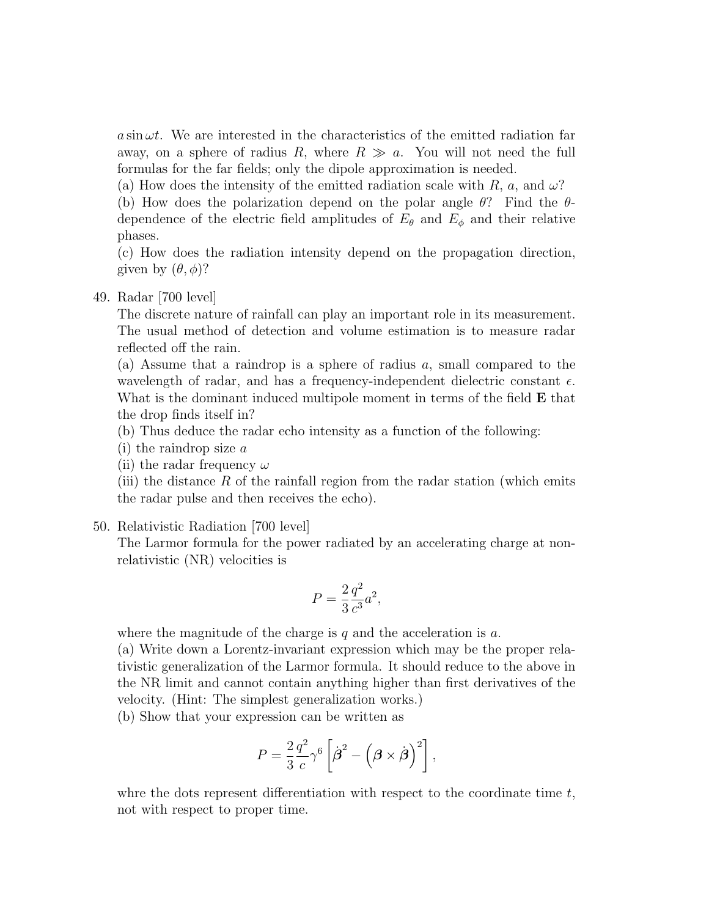$a \sin \omega t$ . We are interested in the characteristics of the emitted radiation far away, on a sphere of radius R, where  $R \gg a$ . You will not need the full formulas for the far fields; only the dipole approximation is needed.

(a) How does the intensity of the emitted radiation scale with  $R$ ,  $a$ , and  $\omega$ ?

(b) How does the polarization depend on the polar angle  $\theta$ ? Find the  $\theta$ dependence of the electric field amplitudes of  $E_{\theta}$  and  $E_{\phi}$  and their relative phases.

(c) How does the radiation intensity depend on the propagation direction, given by  $(\theta, \phi)$ ?

#### 49. Radar [700 level]

The discrete nature of rainfall can play an important role in its measurement. The usual method of detection and volume estimation is to measure radar reflected off the rain.

(a) Assume that a raindrop is a sphere of radius a, small compared to the wavelength of radar, and has a frequency-independent dielectric constant  $\epsilon$ . What is the dominant induced multipole moment in terms of the field **E** that the drop finds itself in?

(b) Thus deduce the radar echo intensity as a function of the following:

- (i) the raindrop size a
- (ii) the radar frequency  $\omega$

(iii) the distance  $R$  of the rainfall region from the radar station (which emits the radar pulse and then receives the echo).

50. Relativistic Radiation [700 level]

The Larmor formula for the power radiated by an accelerating charge at nonrelativistic (NR) velocities is

$$
P = \frac{2}{3} \frac{q^2}{c^3} a^2,
$$

where the magnitude of the charge is q and the acceleration is  $a$ .

(a) Write down a Lorentz-invariant expression which may be the proper relativistic generalization of the Larmor formula. It should reduce to the above in the NR limit and cannot contain anything higher than first derivatives of the velocity. (Hint: The simplest generalization works.)

(b) Show that your expression can be written as

$$
P = \frac{2}{3} \frac{q^2}{c} \gamma^6 \left[ \dot{\boldsymbol{\beta}}^2 - \left( \boldsymbol{\beta} \times \dot{\boldsymbol{\beta}} \right)^2 \right],
$$

whre the dots represent differentiation with respect to the coordinate time  $t$ , not with respect to proper time.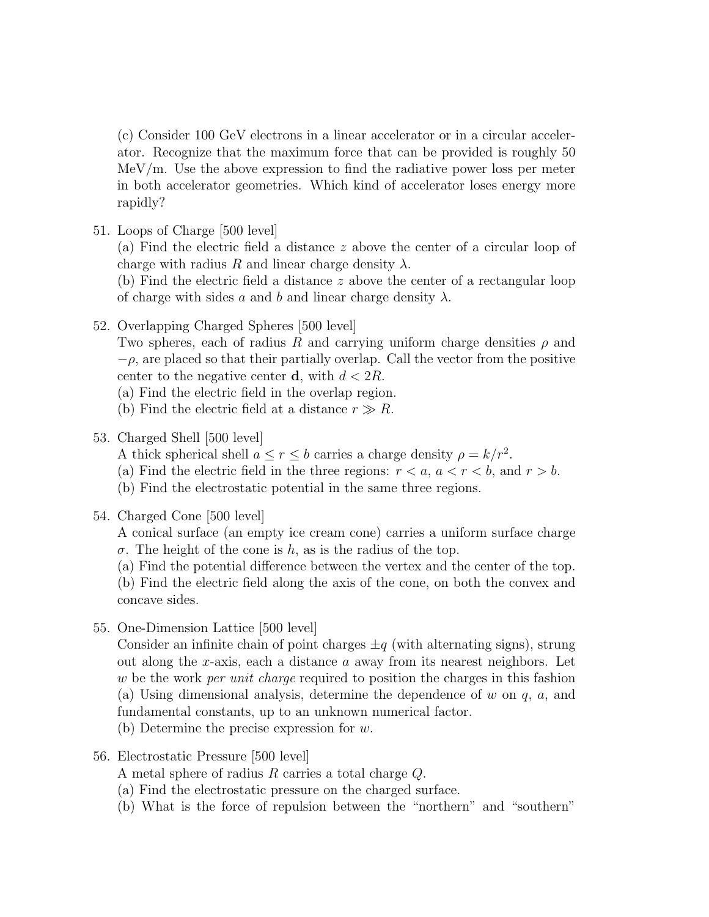(c) Consider 100 GeV electrons in a linear accelerator or in a circular accelerator. Recognize that the maximum force that can be provided is roughly 50 MeV/m. Use the above expression to find the radiative power loss per meter in both accelerator geometries. Which kind of accelerator loses energy more rapidly?

51. Loops of Charge [500 level]

(a) Find the electric field a distance z above the center of a circular loop of charge with radius R and linear charge density  $\lambda$ .

(b) Find the electric field a distance z above the center of a rectangular loop of charge with sides a and b and linear charge density  $\lambda$ .

52. Overlapping Charged Spheres [500 level]

Two spheres, each of radius R and carrying uniform charge densities  $\rho$  and  $-\rho$ , are placed so that their partially overlap. Call the vector from the positive center to the negative center **d**, with  $d < 2R$ .

(a) Find the electric field in the overlap region.

- (b) Find the electric field at a distance  $r \gg R$ .
- 53. Charged Shell [500 level]
	- A thick spherical shell  $a \leq r \leq b$  carries a charge density  $\rho = k/r^2$ .
	- (a) Find the electric field in the three regions:  $r < a$ ,  $a < r < b$ , and  $r > b$ .
	- (b) Find the electrostatic potential in the same three regions.
- 54. Charged Cone [500 level]

A conical surface (an empty ice cream cone) carries a uniform surface charge  $\sigma$ . The height of the cone is h, as is the radius of the top.

(a) Find the potential difference between the vertex and the center of the top. (b) Find the electric field along the axis of the cone, on both the convex and concave sides.

55. One-Dimension Lattice [500 level]

Consider an infinite chain of point charges  $\pm q$  (with alternating signs), strung out along the x-axis, each a distance  $\alpha$  away from its nearest neighbors. Let w be the work *per unit charge* required to position the charges in this fashion (a) Using dimensional analysis, determine the dependence of w on  $q$ ,  $a$ , and fundamental constants, up to an unknown numerical factor.

(b) Determine the precise expression for w.

56. Electrostatic Pressure [500 level]

A metal sphere of radius R carries a total charge Q.

- (a) Find the electrostatic pressure on the charged surface.
- (b) What is the force of repulsion between the "northern" and "southern"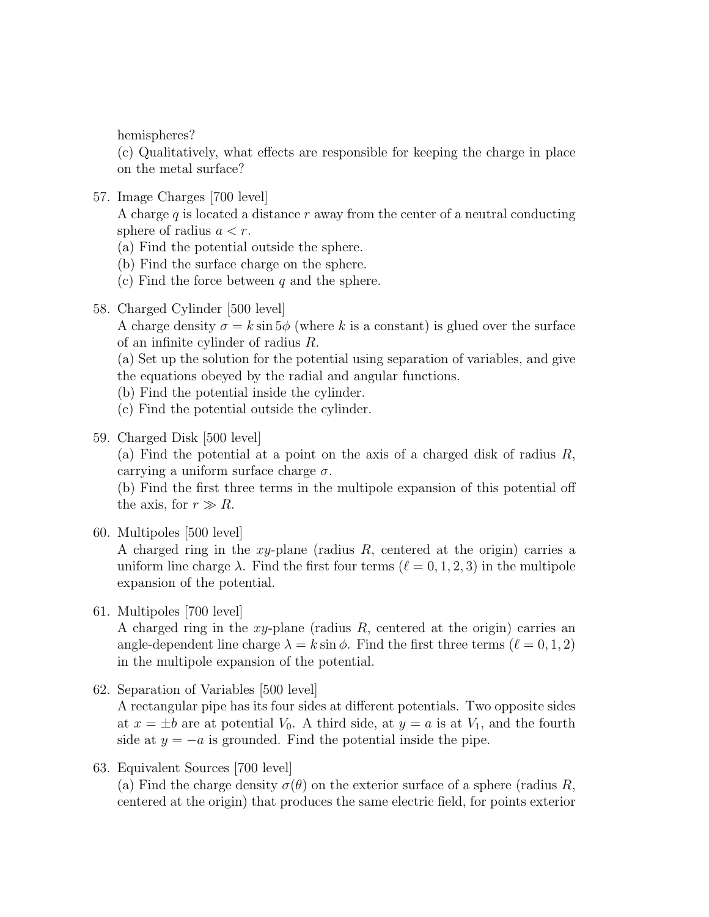hemispheres?

(c) Qualitatively, what effects are responsible for keeping the charge in place on the metal surface?

57. Image Charges [700 level]

A charge  $q$  is located a distance  $r$  away from the center of a neutral conducting sphere of radius  $a < r$ .

- (a) Find the potential outside the sphere.
- (b) Find the surface charge on the sphere.
- (c) Find the force between  $q$  and the sphere.
- 58. Charged Cylinder [500 level]

A charge density  $\sigma = k \sin 5\phi$  (where k is a constant) is glued over the surface of an infinite cylinder of radius R.

- (a) Set up the solution for the potential using separation of variables, and give the equations obeyed by the radial and angular functions.
- (b) Find the potential inside the cylinder.
- (c) Find the potential outside the cylinder.
- 59. Charged Disk [500 level]

(a) Find the potential at a point on the axis of a charged disk of radius  $R$ , carrying a uniform surface charge  $\sigma$ .

(b) Find the first three terms in the multipole expansion of this potential off the axis, for  $r \gg R$ .

60. Multipoles [500 level]

A charged ring in the  $xy$ -plane (radius R, centered at the origin) carries a uniform line charge  $\lambda$ . Find the first four terms  $(\ell = 0, 1, 2, 3)$  in the multipole expansion of the potential.

61. Multipoles [700 level]

A charged ring in the  $xy$ -plane (radius R, centered at the origin) carries an angle-dependent line charge  $\lambda = k \sin \phi$ . Find the first three terms  $(\ell = 0, 1, 2)$ in the multipole expansion of the potential.

62. Separation of Variables [500 level]

A rectangular pipe has its four sides at different potentials. Two opposite sides at  $x = \pm b$  are at potential  $V_0$ . A third side, at  $y = a$  is at  $V_1$ , and the fourth side at  $y = -a$  is grounded. Find the potential inside the pipe.

63. Equivalent Sources [700 level]

(a) Find the charge density  $\sigma(\theta)$  on the exterior surface of a sphere (radius R, centered at the origin) that produces the same electric field, for points exterior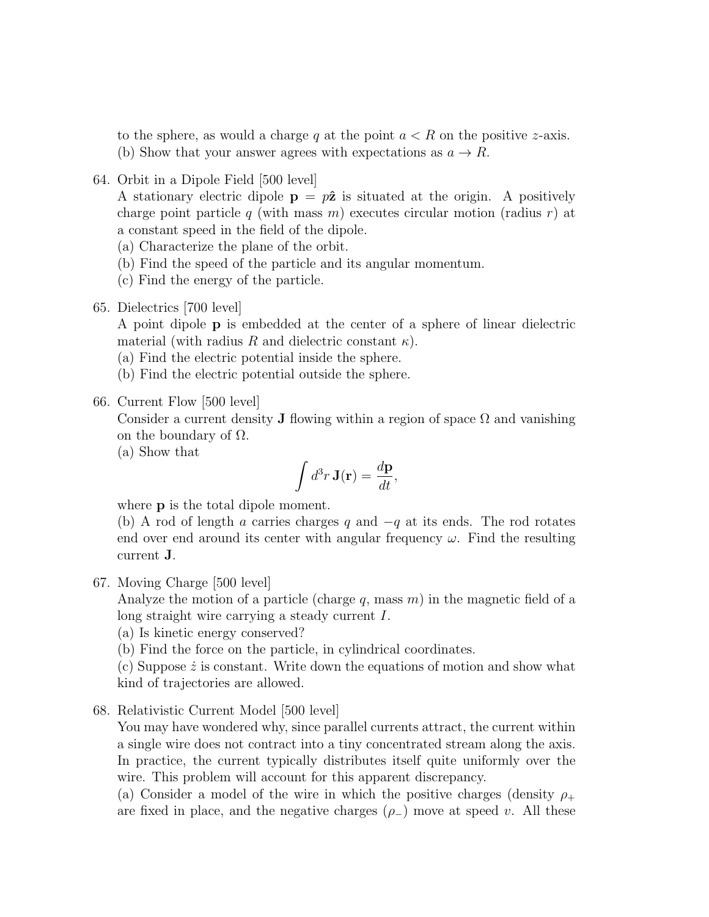to the sphere, as would a charge q at the point  $a < R$  on the positive z-axis. (b) Show that your answer agrees with expectations as  $a \to R$ .

64. Orbit in a Dipole Field [500 level]

A stationary electric dipole  $\mathbf{p} = p\hat{\mathbf{z}}$  is situated at the origin. A positively charge point particle q (with mass m) executes circular motion (radius r) at a constant speed in the field of the dipole.

- (a) Characterize the plane of the orbit.
- (b) Find the speed of the particle and its angular momentum.
- (c) Find the energy of the particle.
- 65. Dielectrics [700 level]

A point dipole p is embedded at the center of a sphere of linear dielectric material (with radius R and dielectric constant  $\kappa$ ).

- (a) Find the electric potential inside the sphere.
- (b) Find the electric potential outside the sphere.
- 66. Current Flow [500 level]

Consider a current density **J** flowing within a region of space  $\Omega$  and vanishing on the boundary of  $\Omega$ .

(a) Show that

$$
\int d^3r \mathbf{J}(\mathbf{r}) = \frac{d\mathbf{p}}{dt},
$$

where **p** is the total dipole moment.

(b) A rod of length a carries charges q and  $-q$  at its ends. The rod rotates end over end around its center with angular frequency  $\omega$ . Find the resulting current J.

67. Moving Charge [500 level]

Analyze the motion of a particle (charge q, mass  $m$ ) in the magnetic field of a long straight wire carrying a steady current I.

- (a) Is kinetic energy conserved?
- (b) Find the force on the particle, in cylindrical coordinates.

(c) Suppose  $\dot{z}$  is constant. Write down the equations of motion and show what kind of trajectories are allowed.

68. Relativistic Current Model [500 level]

You may have wondered why, since parallel currents attract, the current within a single wire does not contract into a tiny concentrated stream along the axis. In practice, the current typically distributes itself quite uniformly over the wire. This problem will account for this apparent discrepancy.

(a) Consider a model of the wire in which the positive charges (density  $\rho_+$ are fixed in place, and the negative charges  $(\rho_-)$  move at speed v. All these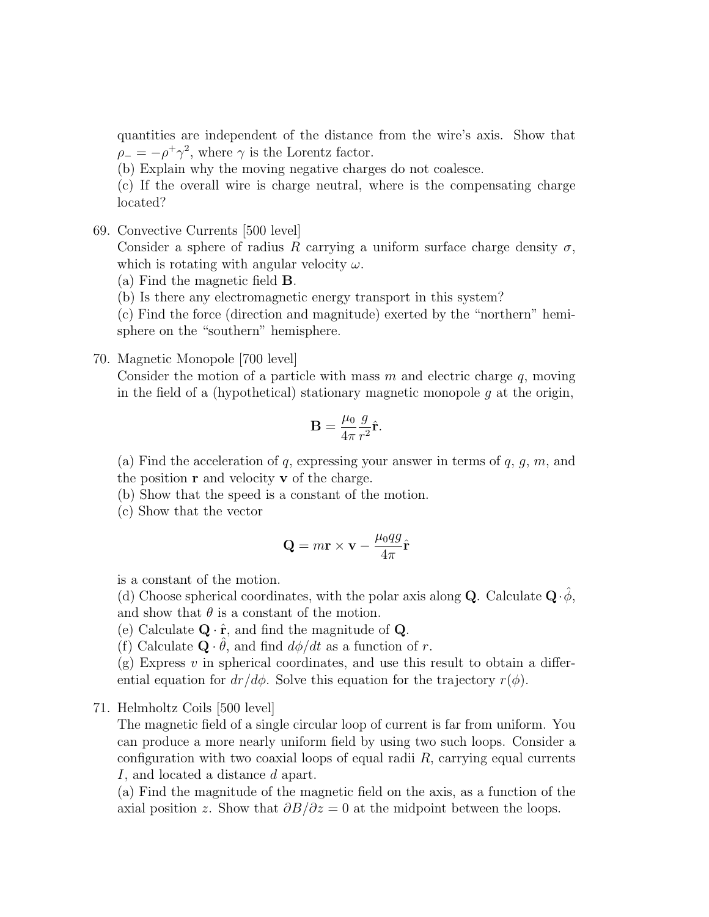quantities are independent of the distance from the wire's axis. Show that  $\rho_- = -\rho^+ \gamma^2$ , where  $\gamma$  is the Lorentz factor.

(b) Explain why the moving negative charges do not coalesce.

(c) If the overall wire is charge neutral, where is the compensating charge located?

69. Convective Currents [500 level]

Consider a sphere of radius R carrying a uniform surface charge density  $\sigma$ , which is rotating with angular velocity  $\omega$ .

(a) Find the magnetic field B.

(b) Is there any electromagnetic energy transport in this system?

(c) Find the force (direction and magnitude) exerted by the "northern" hemisphere on the "southern" hemisphere.

#### 70. Magnetic Monopole [700 level]

Consider the motion of a particle with mass  $m$  and electric charge  $q$ , moving in the field of a (hypothetical) stationary magnetic monopole  $q$  at the origin,

$$
\mathbf{B} = \frac{\mu_0}{4\pi} \frac{g}{r^2} \hat{\mathbf{r}}.
$$

(a) Find the acceleration of q, expressing your answer in terms of  $q, g, m$ , and the position  $\bf{r}$  and velocity  $\bf{v}$  of the charge.

(b) Show that the speed is a constant of the motion.

(c) Show that the vector

$$
\mathbf{Q} = m\mathbf{r} \times \mathbf{v} - \frac{\mu_0 qg}{4\pi} \hat{\mathbf{r}}
$$

is a constant of the motion.

(d) Choose spherical coordinates, with the polar axis along **Q**. Calculate  $\mathbf{Q} \cdot \hat{\phi}$ , and show that  $\theta$  is a constant of the motion.

(e) Calculate  $\mathbf{Q} \cdot \hat{\mathbf{r}}$ , and find the magnitude of  $\mathbf{Q}$ .

(f) Calculate  $\mathbf{Q} \cdot \hat{\theta}$ , and find  $d\phi/dt$  as a function of r.

 $(g)$  Express v in spherical coordinates, and use this result to obtain a differential equation for  $dr/d\phi$ . Solve this equation for the trajectory  $r(\phi)$ .

71. Helmholtz Coils [500 level]

The magnetic field of a single circular loop of current is far from uniform. You can produce a more nearly uniform field by using two such loops. Consider a configuration with two coaxial loops of equal radii  $R$ , carrying equal currents I, and located a distance d apart.

(a) Find the magnitude of the magnetic field on the axis, as a function of the axial position z. Show that  $\partial B/\partial z = 0$  at the midpoint between the loops.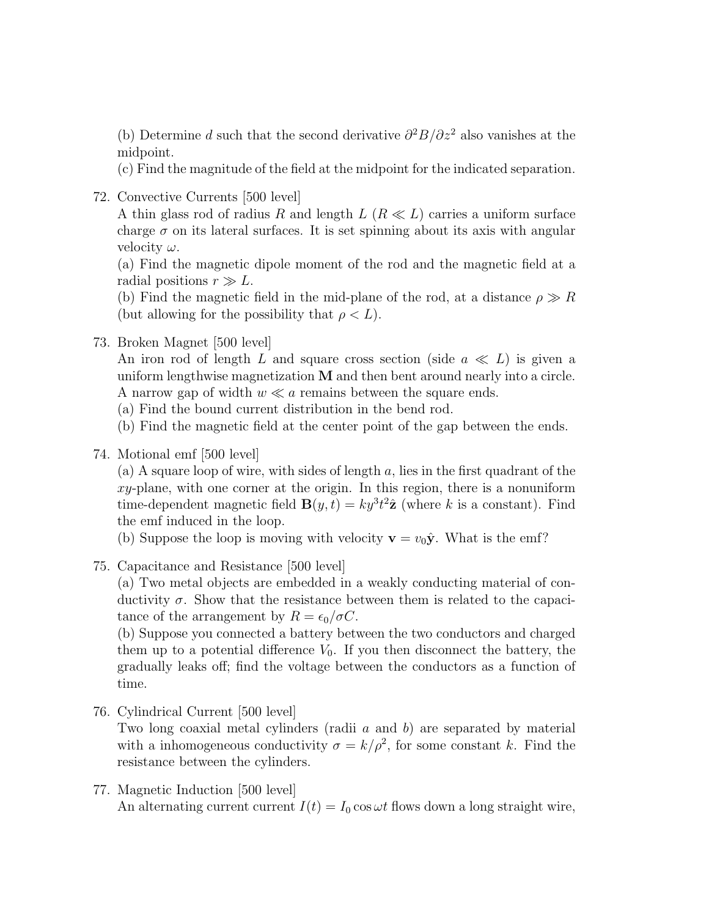(b) Determine d such that the second derivative  $\partial^2 B/\partial z^2$  also vanishes at the midpoint.

(c) Find the magnitude of the field at the midpoint for the indicated separation.

72. Convective Currents [500 level]

A thin glass rod of radius R and length  $L (R \ll L)$  carries a uniform surface charge  $\sigma$  on its lateral surfaces. It is set spinning about its axis with angular velocity  $\omega$ .

(a) Find the magnetic dipole moment of the rod and the magnetic field at a radial positions  $r \gg L$ .

(b) Find the magnetic field in the mid-plane of the rod, at a distance  $\rho \gg R$ (but allowing for the possibility that  $\rho < L$ ).

### 73. Broken Magnet [500 level]

An iron rod of length L and square cross section (side  $a \ll L$ ) is given a uniform lengthwise magnetization  $M$  and then bent around nearly into a circle. A narrow gap of width  $w \ll a$  remains between the square ends.

- (a) Find the bound current distribution in the bend rod.
- (b) Find the magnetic field at the center point of the gap between the ends.
- 74. Motional emf [500 level]

(a) A square loop of wire, with sides of length  $a$ , lies in the first quadrant of the  $xy$ -plane, with one corner at the origin. In this region, there is a nonuniform time-dependent magnetic field  $\mathbf{B}(y,t) = ky^3t^2\hat{\mathbf{z}}$  (where k is a constant). Find the emf induced in the loop.

(b) Suppose the loop is moving with velocity  $\mathbf{v} = v_0 \hat{\mathbf{y}}$ . What is the emf?

75. Capacitance and Resistance [500 level]

(a) Two metal objects are embedded in a weakly conducting material of conductivity  $\sigma$ . Show that the resistance between them is related to the capacitance of the arrangement by  $R = \epsilon_0/\sigma C$ .

(b) Suppose you connected a battery between the two conductors and charged them up to a potential difference  $V_0$ . If you then disconnect the battery, the gradually leaks off; find the voltage between the conductors as a function of time.

76. Cylindrical Current [500 level]

Two long coaxial metal cylinders (radii  $a$  and  $b$ ) are separated by material with a inhomogeneous conductivity  $\sigma = k/\rho^2$ , for some constant k. Find the resistance between the cylinders.

77. Magnetic Induction [500 level] An alternating current current  $I(t) = I_0 \cos \omega t$  flows down a long straight wire,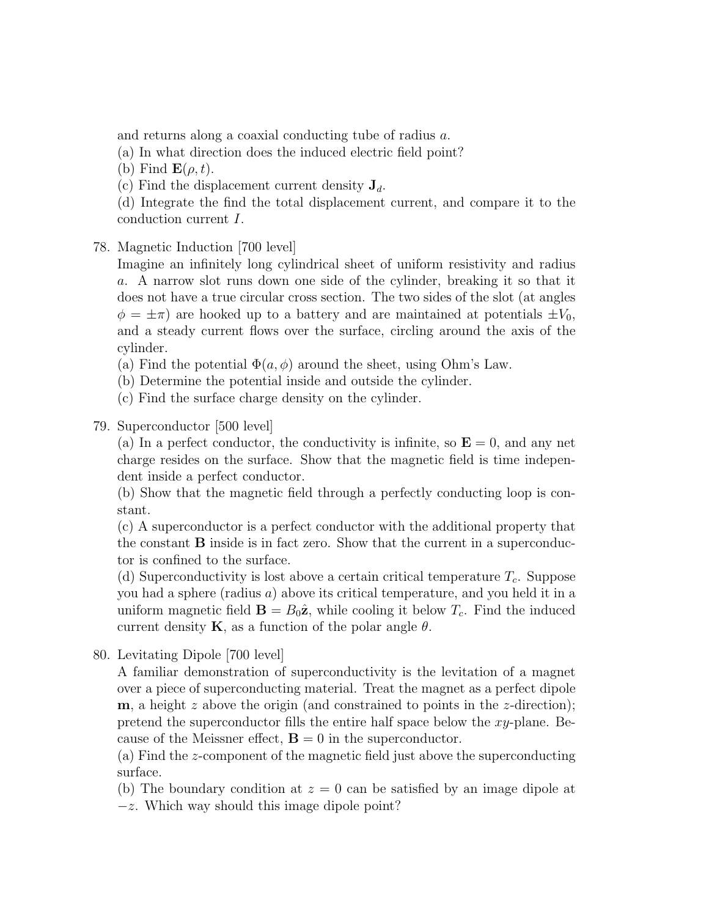and returns along a coaxial conducting tube of radius a.

(a) In what direction does the induced electric field point?

(b) Find  $\mathbf{E}(\rho, t)$ .

(c) Find the displacement current density  $J_d$ .

(d) Integrate the find the total displacement current, and compare it to the conduction current I.

# 78. Magnetic Induction [700 level]

Imagine an infinitely long cylindrical sheet of uniform resistivity and radius a. A narrow slot runs down one side of the cylinder, breaking it so that it does not have a true circular cross section. The two sides of the slot (at angles  $\phi = \pm \pi$ ) are hooked up to a battery and are maintained at potentials  $\pm V_0$ , and a steady current flows over the surface, circling around the axis of the cylinder.

(a) Find the potential  $\Phi(a, \phi)$  around the sheet, using Ohm's Law.

(b) Determine the potential inside and outside the cylinder.

(c) Find the surface charge density on the cylinder.

79. Superconductor [500 level]

(a) In a perfect conductor, the conductivity is infinite, so  $\mathbf{E} = 0$ , and any net charge resides on the surface. Show that the magnetic field is time independent inside a perfect conductor.

(b) Show that the magnetic field through a perfectly conducting loop is constant.

(c) A superconductor is a perfect conductor with the additional property that the constant B inside is in fact zero. Show that the current in a superconductor is confined to the surface.

(d) Superconductivity is lost above a certain critical temperature  $T_c$ . Suppose you had a sphere (radius a) above its critical temperature, and you held it in a uniform magnetic field  $\mathbf{B} = B_0 \hat{\mathbf{z}}$ , while cooling it below  $T_c$ . Find the induced current density **K**, as a function of the polar angle  $\theta$ .

80. Levitating Dipole [700 level]

A familiar demonstration of superconductivity is the levitation of a magnet over a piece of superconducting material. Treat the magnet as a perfect dipole **, a height z above the origin (and constrained to points in the z-direction);** pretend the superconductor fills the entire half space below the xy-plane. Because of the Meissner effect,  $\mathbf{B} = 0$  in the superconductor.

(a) Find the z-component of the magnetic field just above the superconducting surface.

(b) The boundary condition at  $z = 0$  can be satisfied by an image dipole at −z. Which way should this image dipole point?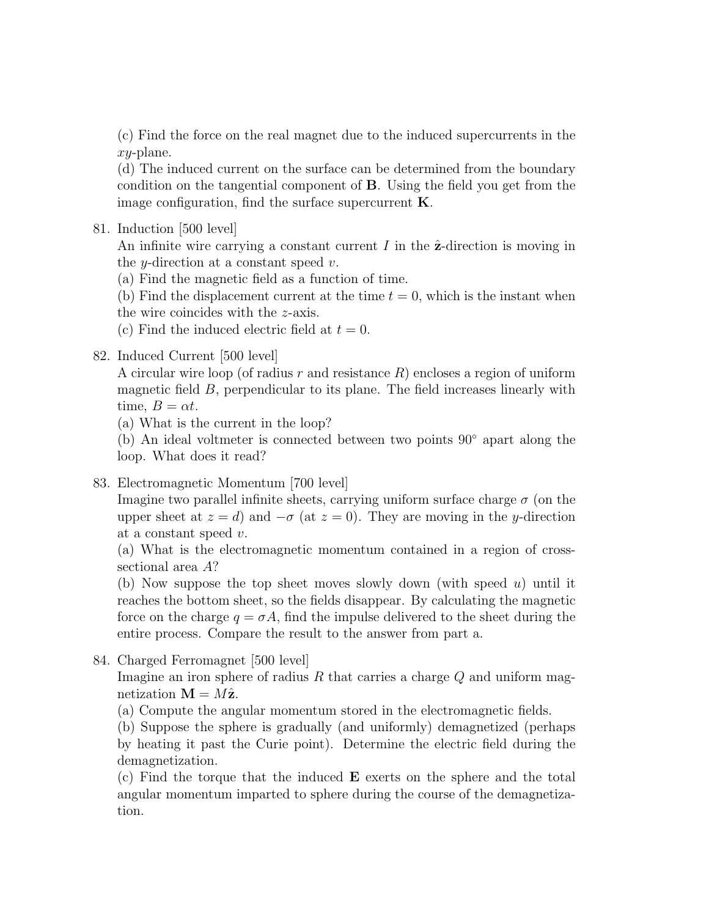(c) Find the force on the real magnet due to the induced supercurrents in the xy-plane.

(d) The induced current on the surface can be determined from the boundary condition on the tangential component of B. Using the field you get from the image configuration, find the surface supercurrent  $K$ .

81. Induction [500 level]

An infinite wire carrying a constant current  $I$  in the  $\hat{z}$ -direction is moving in the *y*-direction at a constant speed  $v$ .

(a) Find the magnetic field as a function of time.

(b) Find the displacement current at the time  $t = 0$ , which is the instant when the wire coincides with the z-axis.

(c) Find the induced electric field at  $t = 0$ .

# 82. Induced Current [500 level]

A circular wire loop (of radius r and resistance  $R$ ) encloses a region of uniform magnetic field B, perpendicular to its plane. The field increases linearly with time,  $B = \alpha t$ .

(a) What is the current in the loop?

(b) An ideal voltmeter is connected between two points 90◦ apart along the loop. What does it read?

### 83. Electromagnetic Momentum [700 level]

Imagine two parallel infinite sheets, carrying uniform surface charge  $\sigma$  (on the upper sheet at  $z = d$  and  $-\sigma$  (at  $z = 0$ ). They are moving in the y-direction at a constant speed v.

(a) What is the electromagnetic momentum contained in a region of crosssectional area A?

(b) Now suppose the top sheet moves slowly down (with speed  $u$ ) until it reaches the bottom sheet, so the fields disappear. By calculating the magnetic force on the charge  $q = \sigma A$ , find the impulse delivered to the sheet during the entire process. Compare the result to the answer from part a.

84. Charged Ferromagnet [500 level]

Imagine an iron sphere of radius  $R$  that carries a charge  $Q$  and uniform magnetization  $\mathbf{M} = M\hat{\mathbf{z}}$ .

(a) Compute the angular momentum stored in the electromagnetic fields.

(b) Suppose the sphere is gradually (and uniformly) demagnetized (perhaps by heating it past the Curie point). Determine the electric field during the demagnetization.

(c) Find the torque that the induced E exerts on the sphere and the total angular momentum imparted to sphere during the course of the demagnetization.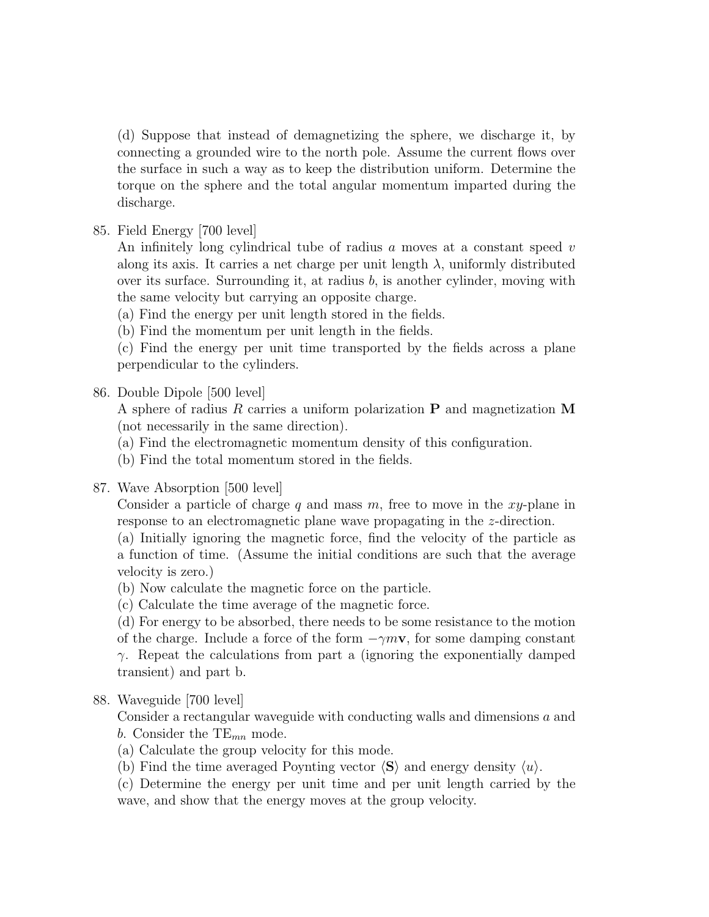(d) Suppose that instead of demagnetizing the sphere, we discharge it, by connecting a grounded wire to the north pole. Assume the current flows over the surface in such a way as to keep the distribution uniform. Determine the torque on the sphere and the total angular momentum imparted during the discharge.

85. Field Energy [700 level]

An infinitely long cylindrical tube of radius  $a$  moves at a constant speed  $v$ along its axis. It carries a net charge per unit length  $\lambda$ , uniformly distributed over its surface. Surrounding it, at radius  $b$ , is another cylinder, moving with the same velocity but carrying an opposite charge.

(a) Find the energy per unit length stored in the fields.

(b) Find the momentum per unit length in the fields.

(c) Find the energy per unit time transported by the fields across a plane perpendicular to the cylinders.

# 86. Double Dipole [500 level]

A sphere of radius R carries a uniform polarization  $P$  and magnetization M (not necessarily in the same direction).

(a) Find the electromagnetic momentum density of this configuration.

(b) Find the total momentum stored in the fields.

87. Wave Absorption [500 level]

Consider a particle of charge q and mass  $m$ , free to move in the xy-plane in response to an electromagnetic plane wave propagating in the z-direction.

(a) Initially ignoring the magnetic force, find the velocity of the particle as a function of time. (Assume the initial conditions are such that the average velocity is zero.)

(b) Now calculate the magnetic force on the particle.

(c) Calculate the time average of the magnetic force.

(d) For energy to be absorbed, there needs to be some resistance to the motion of the charge. Include a force of the form  $-\gamma m v$ , for some damping constant γ. Repeat the calculations from part a (ignoring the exponentially damped transient) and part b.

# 88. Waveguide [700 level]

Consider a rectangular waveguide with conducting walls and dimensions a and b. Consider the  $TE_{mn}$  mode.

(a) Calculate the group velocity for this mode.

(b) Find the time averaged Poynting vector  $\langle S \rangle$  and energy density  $\langle u \rangle$ .

(c) Determine the energy per unit time and per unit length carried by the wave, and show that the energy moves at the group velocity.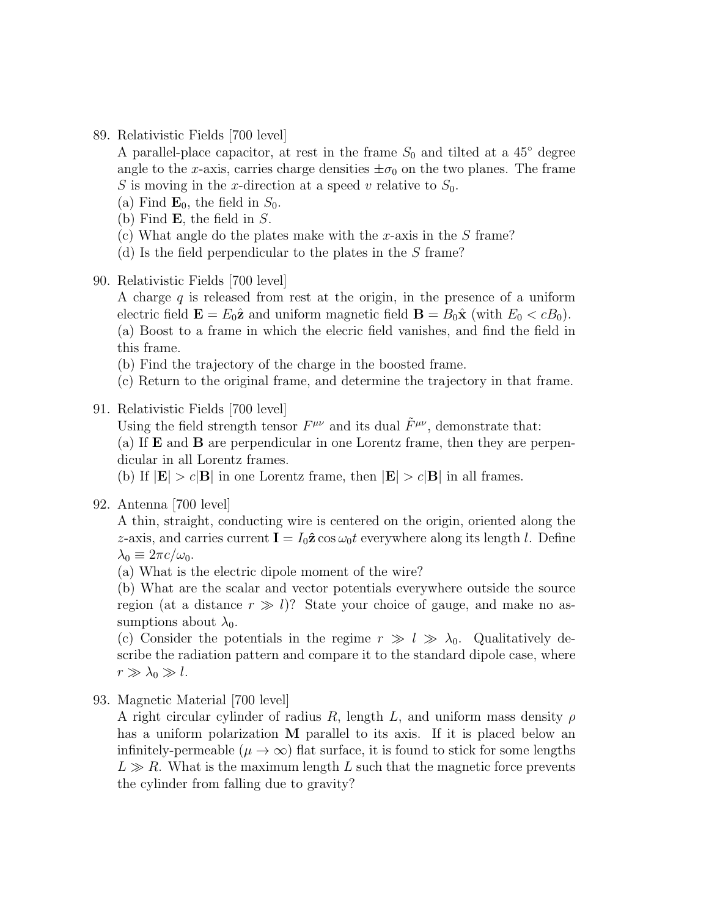89. Relativistic Fields [700 level]

A parallel-place capacitor, at rest in the frame  $S_0$  and tilted at a 45<sup>°</sup> degree angle to the x-axis, carries charge densities  $\pm \sigma_0$  on the two planes. The frame S is moving in the x-direction at a speed v relative to  $S_0$ .

- (a) Find  $\mathbf{E}_0$ , the field in  $S_0$ .
- (b) Find  $\bf{E}$ , the field in  $S$ .
- (c) What angle do the plates make with the x-axis in the  $S$  frame?
- (d) Is the field perpendicular to the plates in the S frame?
- 90. Relativistic Fields [700 level]

A charge  $q$  is released from rest at the origin, in the presence of a uniform electric field  $\mathbf{E} = E_0 \hat{\mathbf{z}}$  and uniform magnetic field  $\mathbf{B} = B_0 \hat{\mathbf{x}}$  (with  $E_0 < cB_0$ ). (a) Boost to a frame in which the elecric field vanishes, and find the field in this frame.

- (b) Find the trajectory of the charge in the boosted frame.
- (c) Return to the original frame, and determine the trajectory in that frame.

#### 91. Relativistic Fields [700 level]

Using the field strength tensor  $F^{\mu\nu}$  and its dual  $\tilde{F}^{\mu\nu}$ , demonstrate that:

(a) If E and B are perpendicular in one Lorentz frame, then they are perpendicular in all Lorentz frames.

(b) If  $|\mathbf{E}| > c|\mathbf{B}|$  in one Lorentz frame, then  $|\mathbf{E}| > c|\mathbf{B}|$  in all frames.

#### 92. Antenna [700 level]

A thin, straight, conducting wire is centered on the origin, oriented along the z-axis, and carries current  $I = I_0 \hat{z} \cos \omega_0 t$  everywhere along its length l. Define  $\lambda_0 \equiv 2\pi c/\omega_0$ .

(a) What is the electric dipole moment of the wire?

(b) What are the scalar and vector potentials everywhere outside the source region (at a distance  $r \gg l$ )? State your choice of gauge, and make no assumptions about  $\lambda_0$ .

(c) Consider the potentials in the regime  $r \gg l \gg \lambda_0$ . Qualitatively describe the radiation pattern and compare it to the standard dipole case, where  $r \gg \lambda_0 \gg l$ .

93. Magnetic Material [700 level]

A right circular cylinder of radius R, length L, and uniform mass density  $\rho$ has a uniform polarization **M** parallel to its axis. If it is placed below an infinitely-permeable ( $\mu \to \infty$ ) flat surface, it is found to stick for some lengths  $L \gg R$ . What is the maximum length L such that the magnetic force prevents the cylinder from falling due to gravity?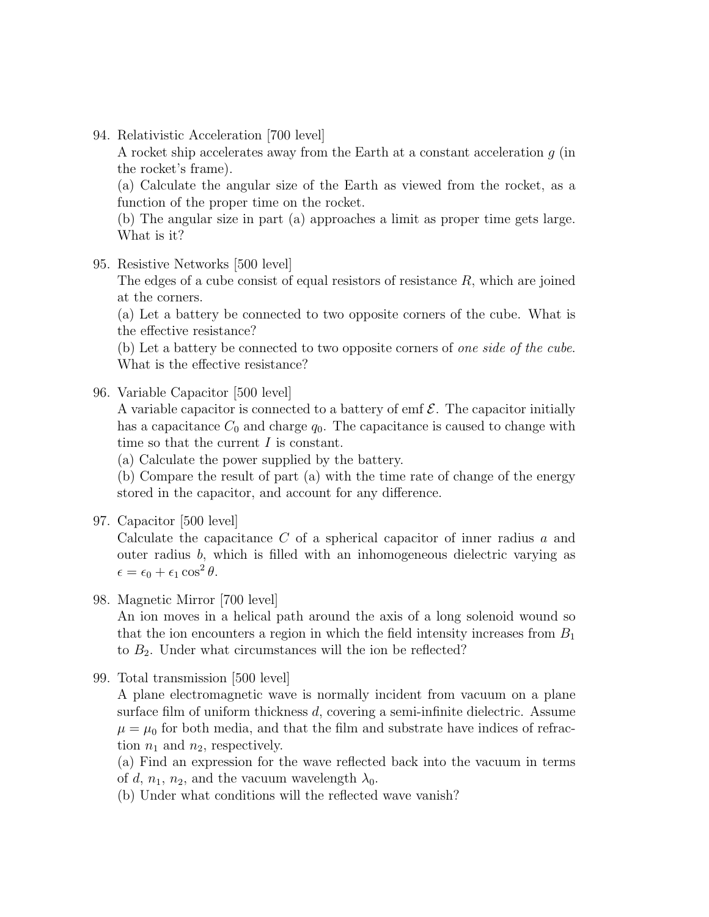94. Relativistic Acceleration [700 level]

A rocket ship accelerates away from the Earth at a constant acceleration  $q$  (in the rocket's frame).

(a) Calculate the angular size of the Earth as viewed from the rocket, as a function of the proper time on the rocket.

(b) The angular size in part (a) approaches a limit as proper time gets large. What is it?

95. Resistive Networks [500 level]

The edges of a cube consist of equal resistors of resistance  $R$ , which are joined at the corners.

(a) Let a battery be connected to two opposite corners of the cube. What is the effective resistance?

(b) Let a battery be connected to two opposite corners of one side of the cube. What is the effective resistance?

96. Variable Capacitor [500 level]

A variable capacitor is connected to a battery of emf  $\mathcal{E}$ . The capacitor initially has a capacitance  $C_0$  and charge  $q_0$ . The capacitance is caused to change with time so that the current I is constant.

(a) Calculate the power supplied by the battery.

(b) Compare the result of part (a) with the time rate of change of the energy stored in the capacitor, and account for any difference.

97. Capacitor [500 level]

Calculate the capacitance C of a spherical capacitor of inner radius a and outer radius b, which is filled with an inhomogeneous dielectric varying as  $\epsilon = \epsilon_0 + \epsilon_1 \cos^2 \theta.$ 

98. Magnetic Mirror [700 level]

An ion moves in a helical path around the axis of a long solenoid wound so that the ion encounters a region in which the field intensity increases from  $B_1$ to  $B_2$ . Under what circumstances will the ion be reflected?

99. Total transmission [500 level]

A plane electromagnetic wave is normally incident from vacuum on a plane surface film of uniform thickness  $d$ , covering a semi-infinite dielectric. Assume  $\mu = \mu_0$  for both media, and that the film and substrate have indices of refraction  $n_1$  and  $n_2$ , respectively.

(a) Find an expression for the wave reflected back into the vacuum in terms of d,  $n_1$ ,  $n_2$ , and the vacuum wavelength  $\lambda_0$ .

(b) Under what conditions will the reflected wave vanish?